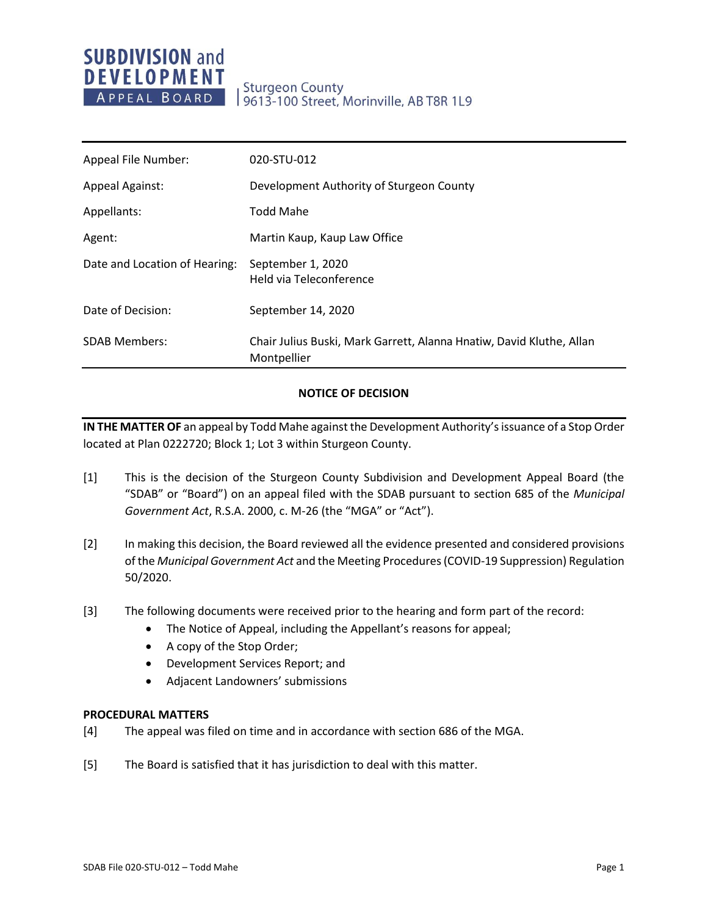# **SUBDIVISION and DEVELOPMENT** APPEAL BOARD

## **Sturgeon County** 9613-100 Street, Morinville, AB T8R 1L9

| Appeal File Number:           | 020-STU-012                                                                         |
|-------------------------------|-------------------------------------------------------------------------------------|
| <b>Appeal Against:</b>        | Development Authority of Sturgeon County                                            |
| Appellants:                   | <b>Todd Mahe</b>                                                                    |
| Agent:                        | Martin Kaup, Kaup Law Office                                                        |
| Date and Location of Hearing: | September 1, 2020<br>Held via Teleconference                                        |
| Date of Decision:             | September 14, 2020                                                                  |
| <b>SDAB Members:</b>          | Chair Julius Buski, Mark Garrett, Alanna Hnatiw, David Kluthe, Allan<br>Montpellier |

#### **NOTICE OF DECISION**

**IN THE MATTER OF** an appeal by Todd Mahe against the Development Authority's issuance of a Stop Order located at Plan 0222720; Block 1; Lot 3 within Sturgeon County.

- [1] This is the decision of the Sturgeon County Subdivision and Development Appeal Board (the "SDAB" or "Board") on an appeal filed with the SDAB pursuant to section 685 of the *Municipal Government Act*, R.S.A. 2000, c. M-26 (the "MGA" or "Act").
- [2] In making this decision, the Board reviewed all the evidence presented and considered provisions of the *Municipal Government Act* and the Meeting Procedures (COVID-19 Suppression) Regulation 50/2020.
- [3] The following documents were received prior to the hearing and form part of the record:
	- The Notice of Appeal, including the Appellant's reasons for appeal;
	- A copy of the Stop Order;
	- Development Services Report; and
	- Adjacent Landowners' submissions

#### **PROCEDURAL MATTERS**

- [4] The appeal was filed on time and in accordance with section 686 of the MGA.
- [5] The Board is satisfied that it has jurisdiction to deal with this matter.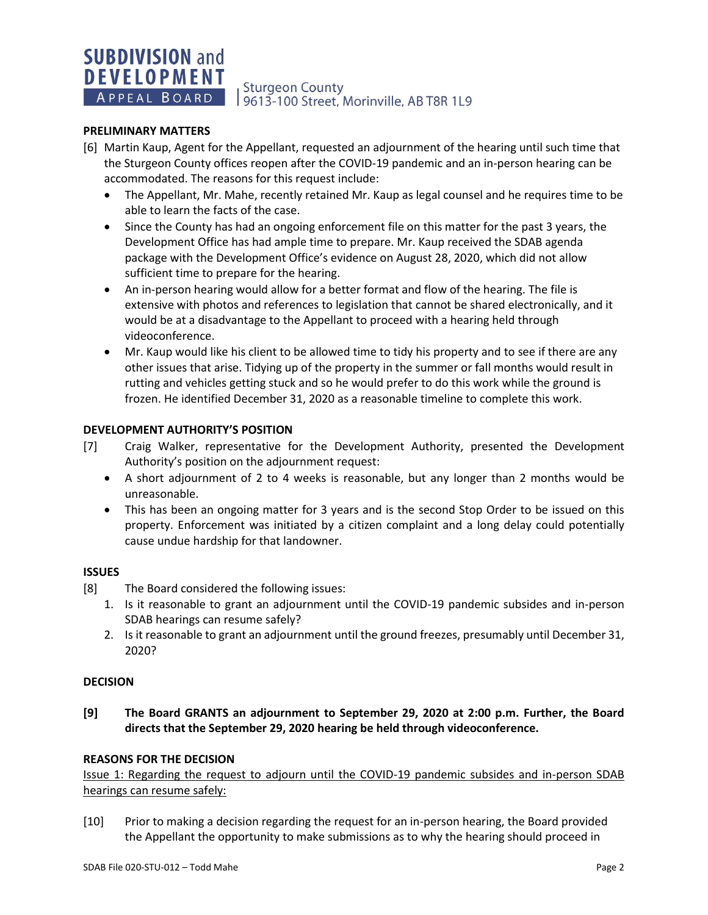# **SUBDIVISION and DEVELOPMENT**

**Sturgeon County** A PPEAL BOARD | 9613-100 Street, Morinville, AB T8R 1L9

#### **PRELIMINARY MATTERS**

- [6] Martin Kaup, Agent for the Appellant, requested an adjournment of the hearing until such time that the Sturgeon County offices reopen after the COVID-19 pandemic and an in-person hearing can be accommodated. The reasons for this request include:
	- The Appellant, Mr. Mahe, recently retained Mr. Kaup as legal counsel and he requires time to be able to learn the facts of the case.
	- Since the County has had an ongoing enforcement file on this matter for the past 3 years, the Development Office has had ample time to prepare. Mr. Kaup received the SDAB agenda package with the Development Office's evidence on August 28, 2020, which did not allow sufficient time to prepare for the hearing.
	- An in-person hearing would allow for a better format and flow of the hearing. The file is extensive with photos and references to legislation that cannot be shared electronically, and it would be at a disadvantage to the Appellant to proceed with a hearing held through videoconference.
	- Mr. Kaup would like his client to be allowed time to tidy his property and to see if there are any other issues that arise. Tidying up of the property in the summer or fall months would result in rutting and vehicles getting stuck and so he would prefer to do this work while the ground is frozen. He identified December 31, 2020 as a reasonable timeline to complete this work.

#### **DEVELOPMENT AUTHORITY'S POSITION**

- [7] Craig Walker, representative for the Development Authority, presented the Development Authority's position on the adjournment request:
	- A short adjournment of 2 to 4 weeks is reasonable, but any longer than 2 months would be unreasonable.
	- This has been an ongoing matter for 3 years and is the second Stop Order to be issued on this property. Enforcement was initiated by a citizen complaint and a long delay could potentially cause undue hardship for that landowner.

#### **ISSUES**

- [8] The Board considered the following issues:
	- 1. Is it reasonable to grant an adjournment until the COVID-19 pandemic subsides and in-person SDAB hearings can resume safely?
	- 2. Is it reasonable to grant an adjournment until the ground freezes, presumably until December 31, 2020?

#### **DECISION**

**[9] The Board GRANTS an adjournment to September 29, 2020 at 2:00 p.m. Further, the Board directs that the September 29, 2020 hearing be held through videoconference.** 

#### **REASONS FOR THE DECISION**

Issue 1: Regarding the request to adjourn until the COVID-19 pandemic subsides and in-person SDAB hearings can resume safely:

[10] Prior to making a decision regarding the request for an in-person hearing, the Board provided the Appellant the opportunity to make submissions as to why the hearing should proceed in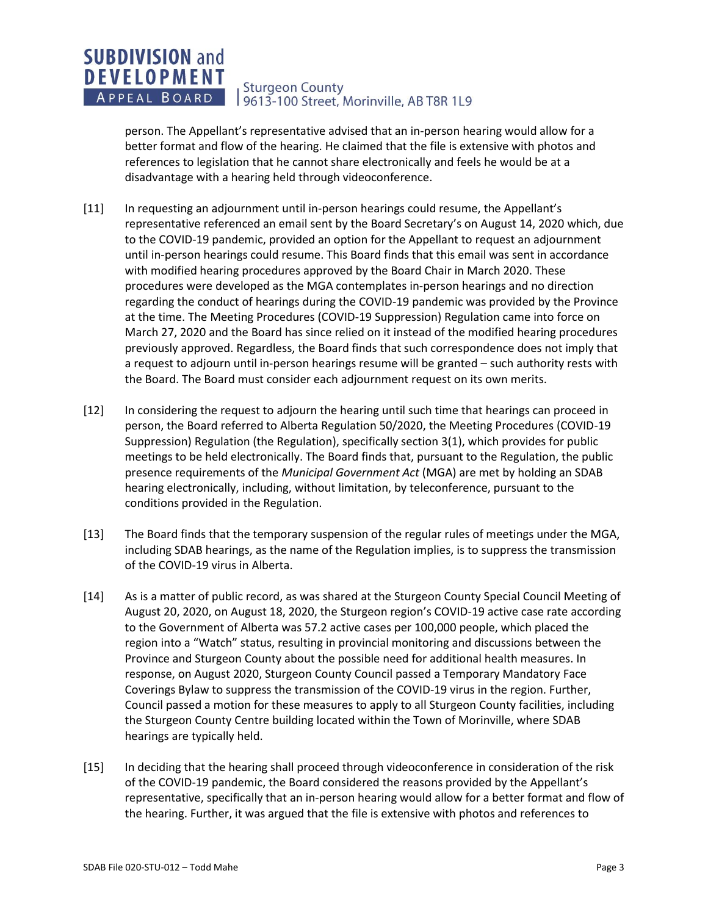#### **SUBDIVISION and DEVELOPMENT Sturgeon County** APPEAL BOARD 9613-100 Street, Morinville, AB T8R 1L9

person. The Appellant's representative advised that an in-person hearing would allow for a better format and flow of the hearing. He claimed that the file is extensive with photos and references to legislation that he cannot share electronically and feels he would be at a disadvantage with a hearing held through videoconference.

- [11] In requesting an adjournment until in-person hearings could resume, the Appellant's representative referenced an email sent by the Board Secretary's on August 14, 2020 which, due to the COVID-19 pandemic, provided an option for the Appellant to request an adjournment until in-person hearings could resume. This Board finds that this email was sent in accordance with modified hearing procedures approved by the Board Chair in March 2020. These procedures were developed as the MGA contemplates in-person hearings and no direction regarding the conduct of hearings during the COVID-19 pandemic was provided by the Province at the time. The Meeting Procedures (COVID-19 Suppression) Regulation came into force on March 27, 2020 and the Board has since relied on it instead of the modified hearing procedures previously approved. Regardless, the Board finds that such correspondence does not imply that a request to adjourn until in-person hearings resume will be granted – such authority rests with the Board. The Board must consider each adjournment request on its own merits.
- [12] In considering the request to adjourn the hearing until such time that hearings can proceed in person, the Board referred to Alberta Regulation 50/2020, the Meeting Procedures (COVID-19 Suppression) Regulation (the Regulation), specifically section 3(1), which provides for public meetings to be held electronically. The Board finds that, pursuant to the Regulation, the public presence requirements of the *Municipal Government Act* (MGA) are met by holding an SDAB hearing electronically, including, without limitation, by teleconference, pursuant to the conditions provided in the Regulation.
- [13] The Board finds that the temporary suspension of the regular rules of meetings under the MGA, including SDAB hearings, as the name of the Regulation implies, is to suppress the transmission of the COVID-19 virus in Alberta.
- [14] As is a matter of public record, as was shared at the Sturgeon County Special Council Meeting of August 20, 2020, on August 18, 2020, the Sturgeon region's COVID-19 active case rate according to the Government of Alberta was 57.2 active cases per 100,000 people, which placed the region into a "Watch" status, resulting in provincial monitoring and discussions between the Province and Sturgeon County about the possible need for additional health measures. In response, on August 2020, Sturgeon County Council passed a Temporary Mandatory Face Coverings Bylaw to suppress the transmission of the COVID-19 virus in the region. Further, Council passed a motion for these measures to apply to all Sturgeon County facilities, including the Sturgeon County Centre building located within the Town of Morinville, where SDAB hearings are typically held.
- [15] In deciding that the hearing shall proceed through videoconference in consideration of the risk of the COVID-19 pandemic, the Board considered the reasons provided by the Appellant's representative, specifically that an in-person hearing would allow for a better format and flow of the hearing. Further, it was argued that the file is extensive with photos and references to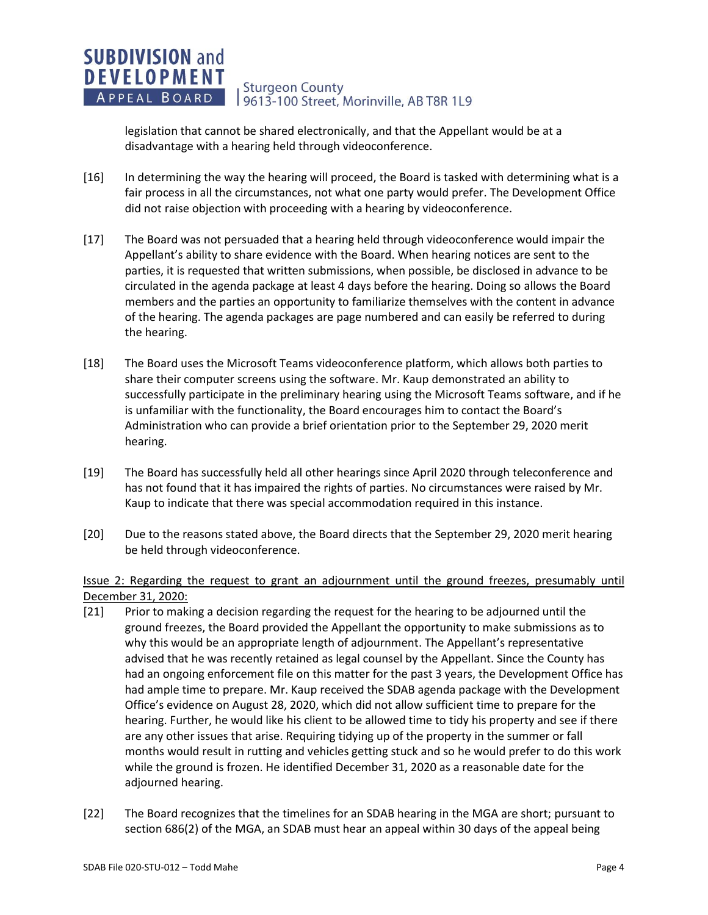#### **SUBDIVISION and DEVELOPMENT Sturgeon County** APPEAL BOARD 19613-100 Street, Morinville, AB T8R 1L9

legislation that cannot be shared electronically, and that the Appellant would be at a disadvantage with a hearing held through videoconference.

- [16] In determining the way the hearing will proceed, the Board is tasked with determining what is a fair process in all the circumstances, not what one party would prefer. The Development Office did not raise objection with proceeding with a hearing by videoconference.
- [17] The Board was not persuaded that a hearing held through videoconference would impair the Appellant's ability to share evidence with the Board. When hearing notices are sent to the parties, it is requested that written submissions, when possible, be disclosed in advance to be circulated in the agenda package at least 4 days before the hearing. Doing so allows the Board members and the parties an opportunity to familiarize themselves with the content in advance of the hearing. The agenda packages are page numbered and can easily be referred to during the hearing.
- [18] The Board uses the Microsoft Teams videoconference platform, which allows both parties to share their computer screens using the software. Mr. Kaup demonstrated an ability to successfully participate in the preliminary hearing using the Microsoft Teams software, and if he is unfamiliar with the functionality, the Board encourages him to contact the Board's Administration who can provide a brief orientation prior to the September 29, 2020 merit hearing.
- [19] The Board has successfully held all other hearings since April 2020 through teleconference and has not found that it has impaired the rights of parties. No circumstances were raised by Mr. Kaup to indicate that there was special accommodation required in this instance.
- [20] Due to the reasons stated above, the Board directs that the September 29, 2020 merit hearing be held through videoconference.

### Issue 2: Regarding the request to grant an adjournment until the ground freezes, presumably until December 31, 2020:

- [21] Prior to making a decision regarding the request for the hearing to be adjourned until the ground freezes, the Board provided the Appellant the opportunity to make submissions as to why this would be an appropriate length of adjournment. The Appellant's representative advised that he was recently retained as legal counsel by the Appellant. Since the County has had an ongoing enforcement file on this matter for the past 3 years, the Development Office has had ample time to prepare. Mr. Kaup received the SDAB agenda package with the Development Office's evidence on August 28, 2020, which did not allow sufficient time to prepare for the hearing. Further, he would like his client to be allowed time to tidy his property and see if there are any other issues that arise. Requiring tidying up of the property in the summer or fall months would result in rutting and vehicles getting stuck and so he would prefer to do this work while the ground is frozen. He identified December 31, 2020 as a reasonable date for the adjourned hearing.
- [22] The Board recognizes that the timelines for an SDAB hearing in the MGA are short; pursuant to section 686(2) of the MGA, an SDAB must hear an appeal within 30 days of the appeal being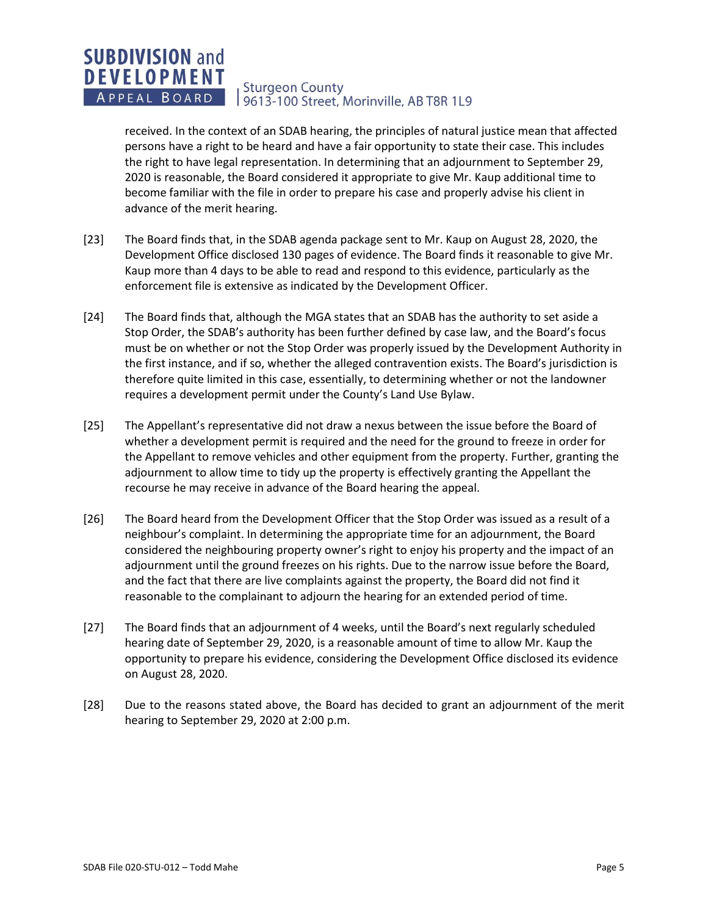#### **SUBDIVISION and DEVELOPMENT Sturgeon County** APPEAL BOARD 9613-100 Street, Morinville, AB T8R 1L9

received. In the context of an SDAB hearing, the principles of natural justice mean that affected persons have a right to be heard and have a fair opportunity to state their case. This includes the right to have legal representation. In determining that an adjournment to September 29, 2020 is reasonable, the Board considered it appropriate to give Mr. Kaup additional time to become familiar with the file in order to prepare his case and properly advise his client in advance of the merit hearing.

- [23] The Board finds that, in the SDAB agenda package sent to Mr. Kaup on August 28, 2020, the Development Office disclosed 130 pages of evidence. The Board finds it reasonable to give Mr. Kaup more than 4 days to be able to read and respond to this evidence, particularly as the enforcement file is extensive as indicated by the Development Officer.
- [24] The Board finds that, although the MGA states that an SDAB has the authority to set aside a Stop Order, the SDAB's authority has been further defined by case law, and the Board's focus must be on whether or not the Stop Order was properly issued by the Development Authority in the first instance, and if so, whether the alleged contravention exists. The Board's jurisdiction is therefore quite limited in this case, essentially, to determining whether or not the landowner requires a development permit under the County's Land Use Bylaw.
- [25] The Appellant's representative did not draw a nexus between the issue before the Board of whether a development permit is required and the need for the ground to freeze in order for the Appellant to remove vehicles and other equipment from the property. Further, granting the adjournment to allow time to tidy up the property is effectively granting the Appellant the recourse he may receive in advance of the Board hearing the appeal.
- [26] The Board heard from the Development Officer that the Stop Order was issued as a result of a neighbour's complaint. In determining the appropriate time for an adjournment, the Board considered the neighbouring property owner's right to enjoy his property and the impact of an adjournment until the ground freezes on his rights. Due to the narrow issue before the Board, and the fact that there are live complaints against the property, the Board did not find it reasonable to the complainant to adjourn the hearing for an extended period of time.
- [27] The Board finds that an adjournment of 4 weeks, until the Board's next regularly scheduled hearing date of September 29, 2020, is a reasonable amount of time to allow Mr. Kaup the opportunity to prepare his evidence, considering the Development Office disclosed its evidence on August 28, 2020.
- [28] Due to the reasons stated above, the Board has decided to grant an adjournment of the merit hearing to September 29, 2020 at 2:00 p.m.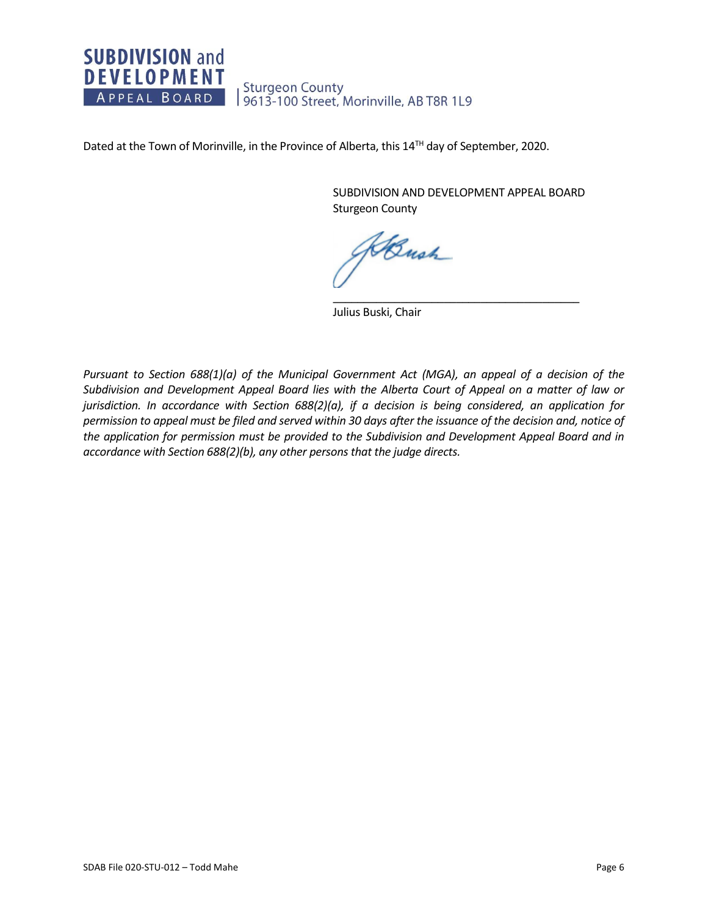#### **SUBDIVISION and DEVELOPMENT Sturgeon County** APPEAL BOARD 9613-100 Street, Morinville, AB T8R 1L9

Dated at the Town of Morinville, in the Province of Alberta, this 14<sup>TH</sup> day of September, 2020.

SUBDIVISION AND DEVELOPMENT APPEAL BOARD Sturgeon County

\_\_\_\_\_\_\_\_\_\_\_\_\_\_\_\_\_\_\_\_\_\_\_\_\_\_\_\_\_\_\_\_\_\_\_\_\_\_\_\_

KBush

Julius Buski, Chair

*Pursuant to Section 688(1)(a) of the Municipal Government Act (MGA), an appeal of a decision of the Subdivision and Development Appeal Board lies with the Alberta Court of Appeal on a matter of law or jurisdiction. In accordance with Section 688(2)(a), if a decision is being considered, an application for permission to appeal must be filed and served within 30 days after the issuance of the decision and, notice of the application for permission must be provided to the Subdivision and Development Appeal Board and in accordance with Section 688(2)(b), any other persons that the judge directs.*